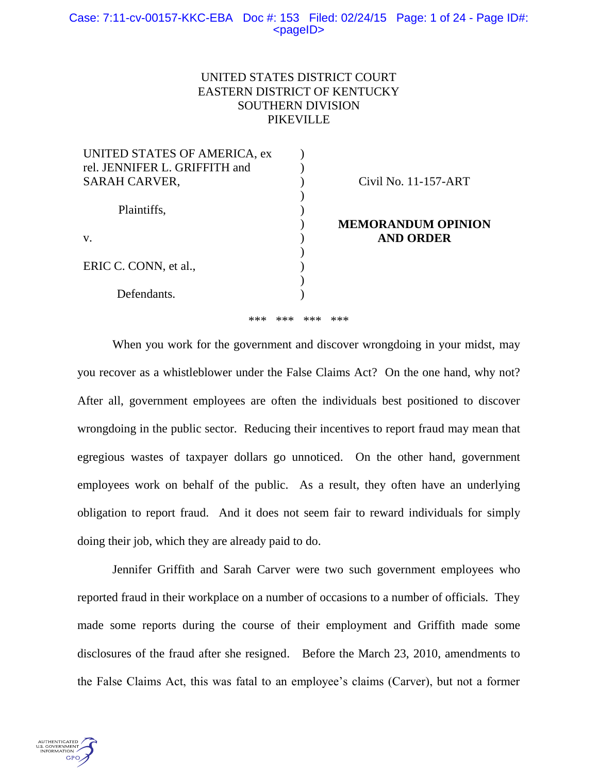## Case: 7:11-cv-00157-KKC-EBA Doc #: 153 Filed: 02/24/15 Page: 1 of 24 - Page ID#:  $<$ pageID $>$

# UNITED STATES DISTRICT COURT EASTERN DISTRICT OF KENTUCKY SOUTHERN DIVISION PIKEVILLE

| UNITED STATES OF AMERICA, ex  |                           |
|-------------------------------|---------------------------|
| rel. JENNIFER L. GRIFFITH and |                           |
| <b>SARAH CARVER,</b>          | Civil No. 11-157-ART      |
|                               |                           |
| Plaintiffs,                   |                           |
|                               | <b>MEMORANDUM OPINION</b> |
| V.                            | <b>AND ORDER</b>          |
|                               |                           |
| ERIC C. CONN, et al.,         |                           |
|                               |                           |
| Defendants.                   |                           |
|                               |                           |

\*\*\* \*\*\* \*\*\* \*\*\*

When you work for the government and discover wrongdoing in your midst, may you recover as a whistleblower under the False Claims Act? On the one hand, why not? After all, government employees are often the individuals best positioned to discover wrongdoing in the public sector. Reducing their incentives to report fraud may mean that egregious wastes of taxpayer dollars go unnoticed. On the other hand, government employees work on behalf of the public. As a result, they often have an underlying obligation to report fraud. And it does not seem fair to reward individuals for simply doing their job, which they are already paid to do.

Jennifer Griffith and Sarah Carver were two such government employees who reported fraud in their workplace on a number of occasions to a number of officials. They made some reports during the course of their employment and Griffith made some disclosures of the fraud after she resigned. Before the March 23, 2010, amendments to the False Claims Act, this was fatal to an employee's claims (Carver), but not a former

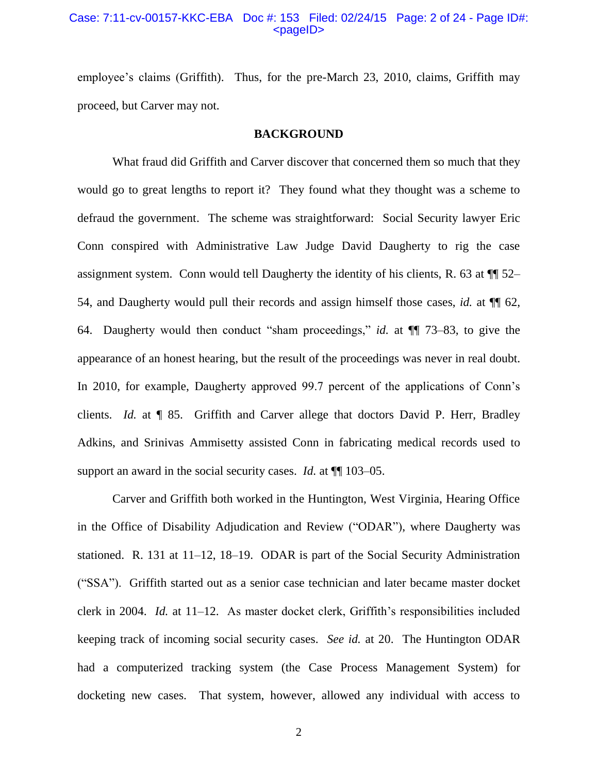### Case: 7:11-cv-00157-KKC-EBA Doc #: 153 Filed: 02/24/15 Page: 2 of 24 - Page ID#: <pageID>

employee's claims (Griffith). Thus, for the pre-March 23, 2010, claims, Griffith may proceed, but Carver may not.

#### **BACKGROUND**

What fraud did Griffith and Carver discover that concerned them so much that they would go to great lengths to report it? They found what they thought was a scheme to defraud the government. The scheme was straightforward: Social Security lawyer Eric Conn conspired with Administrative Law Judge David Daugherty to rig the case assignment system. Conn would tell Daugherty the identity of his clients, R. 63 at ¶¶ 52– 54, and Daugherty would pull their records and assign himself those cases, *id.* at ¶¶ 62, 64. Daugherty would then conduct "sham proceedings," *id.* at ¶¶ 73–83, to give the appearance of an honest hearing, but the result of the proceedings was never in real doubt. In 2010, for example, Daugherty approved 99.7 percent of the applications of Conn's clients. *Id.* at ¶ 85. Griffith and Carver allege that doctors David P. Herr, Bradley Adkins, and Srinivas Ammisetty assisted Conn in fabricating medical records used to support an award in the social security cases. *Id.* at ¶¶ 103–05.

Carver and Griffith both worked in the Huntington, West Virginia, Hearing Office in the Office of Disability Adjudication and Review ("ODAR"), where Daugherty was stationed. R. 131 at 11–12, 18–19. ODAR is part of the Social Security Administration ("SSA"). Griffith started out as a senior case technician and later became master docket clerk in 2004. *Id.* at 11–12. As master docket clerk, Griffith's responsibilities included keeping track of incoming social security cases. *See id.* at 20. The Huntington ODAR had a computerized tracking system (the Case Process Management System) for docketing new cases. That system, however, allowed any individual with access to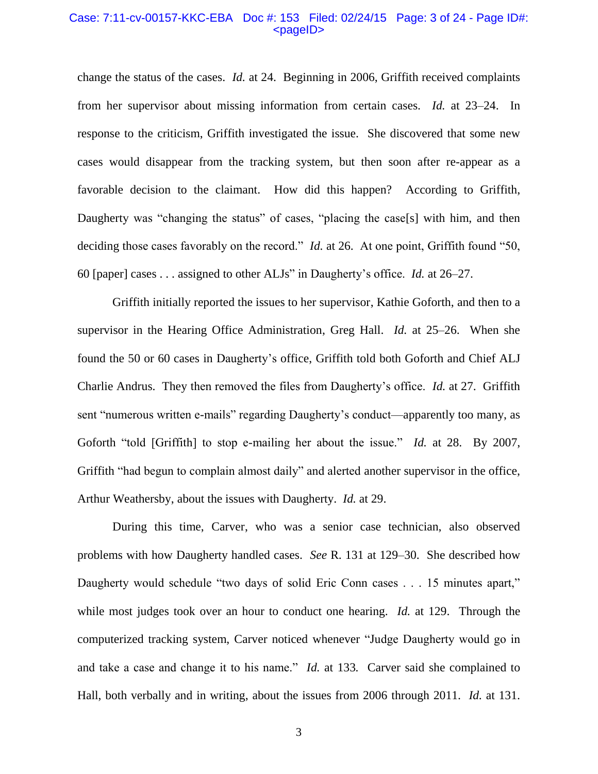### Case: 7:11-cv-00157-KKC-EBA Doc #: 153 Filed: 02/24/15 Page: 3 of 24 - Page ID#: <pageID>

change the status of the cases. *Id.* at 24. Beginning in 2006, Griffith received complaints from her supervisor about missing information from certain cases. *Id.* at 23–24. In response to the criticism, Griffith investigated the issue. She discovered that some new cases would disappear from the tracking system, but then soon after re-appear as a favorable decision to the claimant. How did this happen? According to Griffith, Daugherty was "changing the status" of cases, "placing the case[s] with him, and then deciding those cases favorably on the record." *Id.* at 26. At one point, Griffith found "50, 60 [paper] cases . . . assigned to other ALJs" in Daugherty's office. *Id.* at 26–27.

Griffith initially reported the issues to her supervisor, Kathie Goforth, and then to a supervisor in the Hearing Office Administration, Greg Hall. *Id.* at 25–26. When she found the 50 or 60 cases in Daugherty's office, Griffith told both Goforth and Chief ALJ Charlie Andrus. They then removed the files from Daugherty's office. *Id.* at 27. Griffith sent "numerous written e-mails" regarding Daugherty's conduct—apparently too many, as Goforth "told [Griffith] to stop e-mailing her about the issue." *Id.* at 28. By 2007, Griffith "had begun to complain almost daily" and alerted another supervisor in the office, Arthur Weathersby, about the issues with Daugherty. *Id.* at 29.

During this time, Carver, who was a senior case technician, also observed problems with how Daugherty handled cases. *See* R. 131 at 129–30. She described how Daugherty would schedule "two days of solid Eric Conn cases . . . 15 minutes apart," while most judges took over an hour to conduct one hearing. *Id.* at 129. Through the computerized tracking system, Carver noticed whenever "Judge Daugherty would go in and take a case and change it to his name." *Id.* at 133*.* Carver said she complained to Hall, both verbally and in writing, about the issues from 2006 through 2011. *Id.* at 131.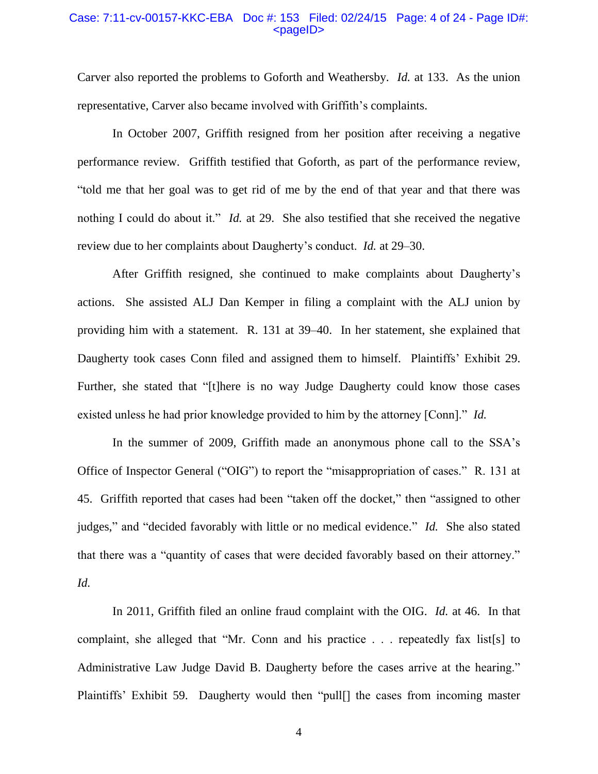### Case: 7:11-cv-00157-KKC-EBA Doc #: 153 Filed: 02/24/15 Page: 4 of 24 - Page ID#: <pageID>

Carver also reported the problems to Goforth and Weathersby. *Id.* at 133. As the union representative, Carver also became involved with Griffith's complaints.

In October 2007, Griffith resigned from her position after receiving a negative performance review. Griffith testified that Goforth, as part of the performance review, "told me that her goal was to get rid of me by the end of that year and that there was nothing I could do about it." *Id.* at 29. She also testified that she received the negative review due to her complaints about Daugherty's conduct. *Id.* at 29–30.

After Griffith resigned, she continued to make complaints about Daugherty's actions. She assisted ALJ Dan Kemper in filing a complaint with the ALJ union by providing him with a statement. R. 131 at 39–40. In her statement, she explained that Daugherty took cases Conn filed and assigned them to himself. Plaintiffs' Exhibit 29. Further, she stated that "[t]here is no way Judge Daugherty could know those cases existed unless he had prior knowledge provided to him by the attorney [Conn]." *Id.*

In the summer of 2009, Griffith made an anonymous phone call to the SSA's Office of Inspector General ("OIG") to report the "misappropriation of cases." R. 131 at 45. Griffith reported that cases had been "taken off the docket," then "assigned to other judges," and "decided favorably with little or no medical evidence." *Id.* She also stated that there was a "quantity of cases that were decided favorably based on their attorney." *Id.*

In 2011, Griffith filed an online fraud complaint with the OIG. *Id.* at 46. In that complaint, she alleged that "Mr. Conn and his practice . . . repeatedly fax list[s] to Administrative Law Judge David B. Daugherty before the cases arrive at the hearing." Plaintiffs' Exhibit 59. Daugherty would then "pull[] the cases from incoming master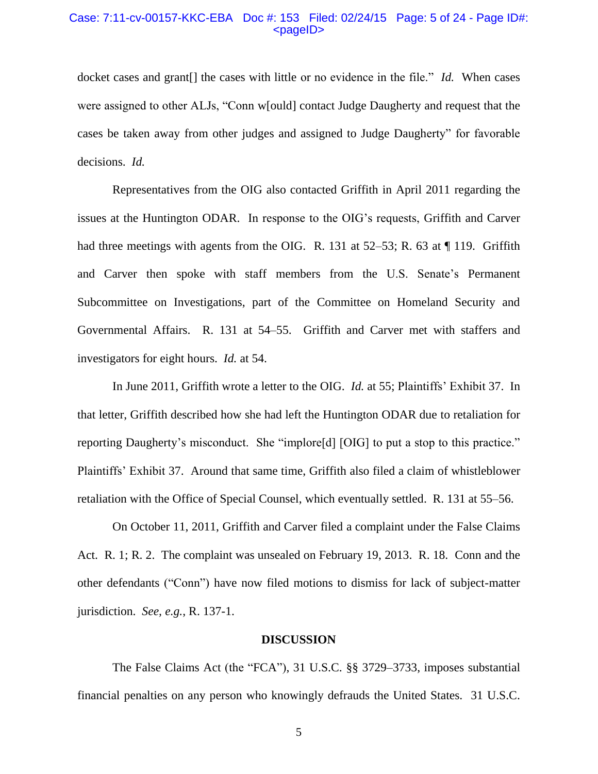### Case: 7:11-cv-00157-KKC-EBA Doc #: 153 Filed: 02/24/15 Page: 5 of 24 - Page ID#: <pageID>

docket cases and grant[] the cases with little or no evidence in the file." *Id.* When cases were assigned to other ALJs, "Conn w[ould] contact Judge Daugherty and request that the cases be taken away from other judges and assigned to Judge Daugherty" for favorable decisions. *Id.*

Representatives from the OIG also contacted Griffith in April 2011 regarding the issues at the Huntington ODAR. In response to the OIG's requests, Griffith and Carver had three meetings with agents from the OIG. R. 131 at 52–53; R. 63 at ¶ 119. Griffith and Carver then spoke with staff members from the U.S. Senate's Permanent Subcommittee on Investigations, part of the Committee on Homeland Security and Governmental Affairs. R. 131 at 54–55. Griffith and Carver met with staffers and investigators for eight hours. *Id.* at 54.

In June 2011, Griffith wrote a letter to the OIG. *Id.* at 55; Plaintiffs' Exhibit 37. In that letter, Griffith described how she had left the Huntington ODAR due to retaliation for reporting Daugherty's misconduct. She "implore[d] [OIG] to put a stop to this practice." Plaintiffs' Exhibit 37. Around that same time, Griffith also filed a claim of whistleblower retaliation with the Office of Special Counsel, which eventually settled. R. 131 at 55–56.

On October 11, 2011, Griffith and Carver filed a complaint under the False Claims Act. R. 1; R. 2. The complaint was unsealed on February 19, 2013. R. 18. Conn and the other defendants ("Conn") have now filed motions to dismiss for lack of subject-matter jurisdiction. *See, e.g.*, R. 137-1.

#### **DISCUSSION**

The False Claims Act (the "FCA"), 31 U.S.C. §§ 3729–3733, imposes substantial financial penalties on any person who knowingly defrauds the United States. 31 U.S.C.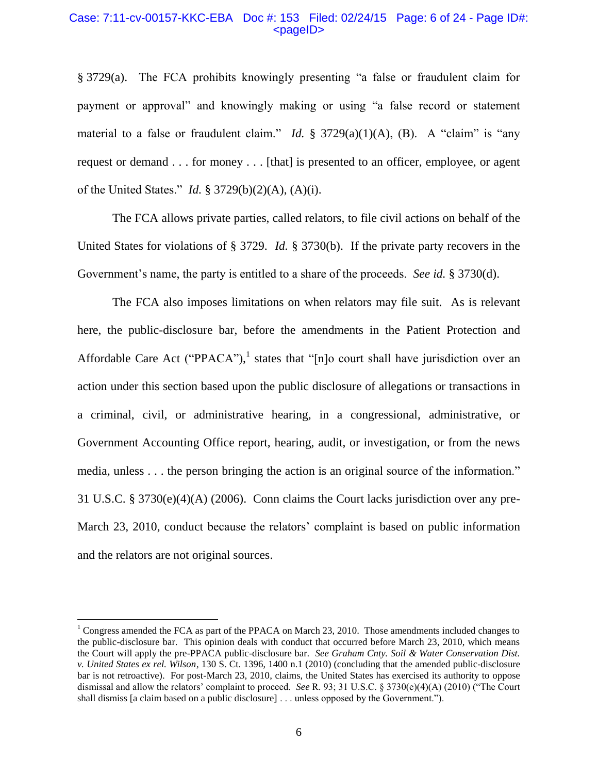### Case: 7:11-cv-00157-KKC-EBA Doc #: 153 Filed: 02/24/15 Page: 6 of 24 - Page ID#:  $<$ pageID $>$

§ 3729(a). The FCA prohibits knowingly presenting "a false or fraudulent claim for payment or approval" and knowingly making or using "a false record or statement material to a false or fraudulent claim." *Id.* § 3729(a)(1)(A), (B). A "claim" is "any request or demand . . . for money . . . [that] is presented to an officer, employee, or agent of the United States." *Id.* § 3729(b)(2)(A), (A)(i).

The FCA allows private parties, called relators, to file civil actions on behalf of the United States for violations of § 3729. *Id.* § 3730(b). If the private party recovers in the Government's name, the party is entitled to a share of the proceeds. *See id.* § 3730(d).

The FCA also imposes limitations on when relators may file suit. As is relevant here, the public-disclosure bar, before the amendments in the Patient Protection and Affordable Care Act ("PPACA"),<sup>1</sup> states that "[n]o court shall have jurisdiction over an action under this section based upon the public disclosure of allegations or transactions in a criminal, civil, or administrative hearing, in a congressional, administrative, or Government Accounting Office report, hearing, audit, or investigation, or from the news media, unless . . . the person bringing the action is an original source of the information." 31 U.S.C. § 3730(e)(4)(A) (2006). Conn claims the Court lacks jurisdiction over any pre-March 23, 2010, conduct because the relators' complaint is based on public information and the relators are not original sources.

 $\overline{a}$ 

<sup>&</sup>lt;sup>1</sup> Congress amended the FCA as part of the PPACA on March 23, 2010. Those amendments included changes to the public-disclosure bar. This opinion deals with conduct that occurred before March 23, 2010, which means the Court will apply the pre-PPACA public-disclosure bar. *See Graham Cnty. Soil & Water Conservation Dist. v. United States ex rel. Wilson*, 130 S. Ct. 1396, 1400 n.1 (2010) (concluding that the amended public-disclosure bar is not retroactive). For post-March 23, 2010, claims, the United States has exercised its authority to oppose dismissal and allow the relators' complaint to proceed. *See* R. 93; 31 U.S.C. § 3730(e)(4)(A) (2010) ("The Court shall dismiss [a claim based on a public disclosure] . . . unless opposed by the Government.").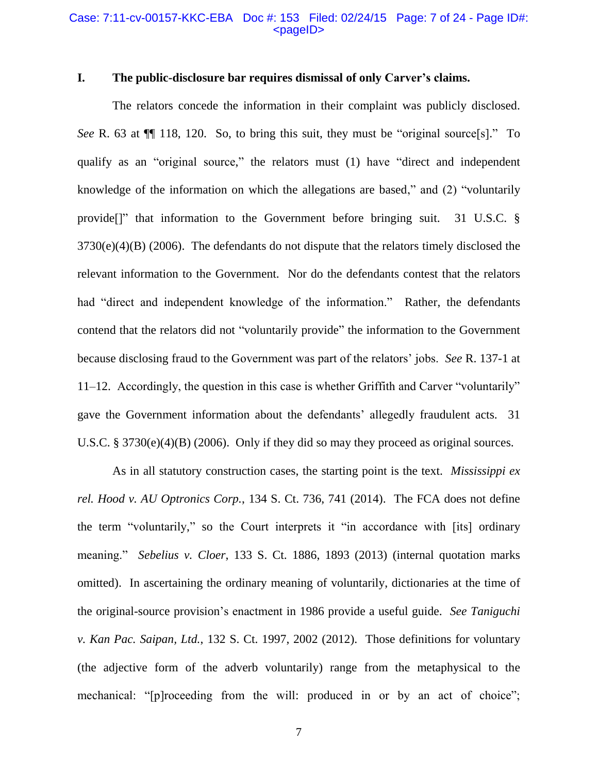### Case: 7:11-cv-00157-KKC-EBA Doc #: 153 Filed: 02/24/15 Page: 7 of 24 - Page ID#: <pageID>

# **I. The public-disclosure bar requires dismissal of only Carver's claims.**

The relators concede the information in their complaint was publicly disclosed. *See* R. 63 at ¶¶ 118, 120. So, to bring this suit, they must be "original source[s]." To qualify as an "original source," the relators must (1) have "direct and independent knowledge of the information on which the allegations are based," and (2) "voluntarily provide[]" that information to the Government before bringing suit. 31 U.S.C. §  $3730(e)(4)(B)$  (2006). The defendants do not dispute that the relators timely disclosed the relevant information to the Government. Nor do the defendants contest that the relators had "direct and independent knowledge of the information." Rather, the defendants contend that the relators did not "voluntarily provide" the information to the Government because disclosing fraud to the Government was part of the relators' jobs. *See* R. 137-1 at 11–12. Accordingly, the question in this case is whether Griffith and Carver "voluntarily" gave the Government information about the defendants' allegedly fraudulent acts. 31 U.S.C. § 3730(e)(4)(B) (2006). Only if they did so may they proceed as original sources.

As in all statutory construction cases, the starting point is the text. *Mississippi ex rel. Hood v. AU Optronics Corp.*, 134 S. Ct. 736, 741 (2014).The FCA does not define the term "voluntarily," so the Court interprets it "in accordance with [its] ordinary meaning." *Sebelius v. Cloer*, 133 S. Ct. 1886, 1893 (2013) (internal quotation marks omitted).In ascertaining the ordinary meaning of voluntarily, dictionaries at the time of the original-source provision's enactment in 1986 provide a useful guide. *See Taniguchi v. Kan Pac. Saipan, Ltd.*, 132 S. Ct. 1997, 2002 (2012).Those definitions for voluntary (the adjective form of the adverb voluntarily) range from the metaphysical to the mechanical: "[p]roceeding from the will: produced in or by an act of choice";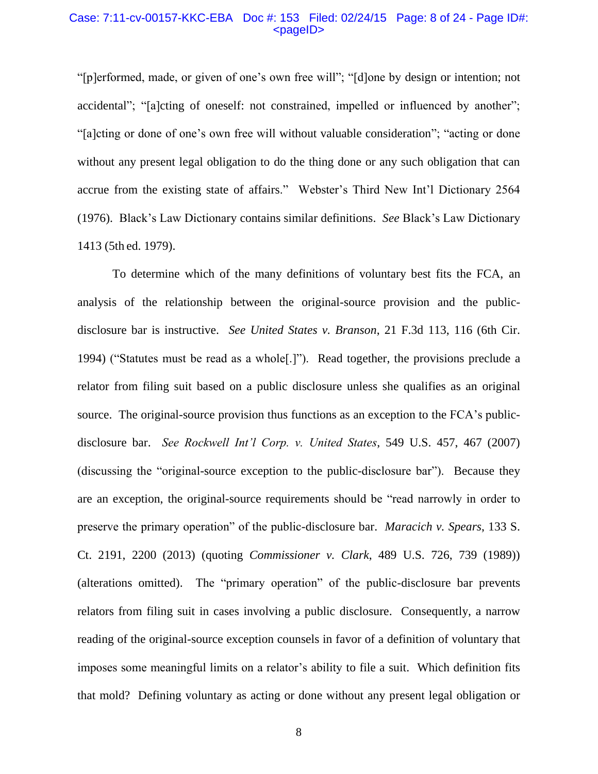### Case: 7:11-cv-00157-KKC-EBA Doc #: 153 Filed: 02/24/15 Page: 8 of 24 - Page ID#: <pageID>

"[p]erformed, made, or given of one's own free will"; "[d]one by design or intention; not accidental"; "[a]cting of oneself: not constrained, impelled or influenced by another"; "[a]cting or done of one's own free will without valuable consideration"; "acting or done without any present legal obligation to do the thing done or any such obligation that can accrue from the existing state of affairs." Webster's Third New Int'l Dictionary 2564 (1976). Black's Law Dictionary contains similar definitions. *See* Black's Law Dictionary 1413 (5th ed. 1979).

To determine which of the many definitions of voluntary best fits the FCA, an analysis of the relationship between the original-source provision and the publicdisclosure bar is instructive. *See United States v. Branson*, 21 F.3d 113, 116 (6th Cir. 1994) ("Statutes must be read as a whole[.]"). Read together, the provisions preclude a relator from filing suit based on a public disclosure unless she qualifies as an original source. The original-source provision thus functions as an exception to the FCA's publicdisclosure bar. *See Rockwell Int'l Corp. v. United States*, 549 U.S. 457, 467 (2007) (discussing the "original-source exception to the public-disclosure bar"). Because they are an exception, the original-source requirements should be "read narrowly in order to preserve the primary operation" of the public-disclosure bar. *Maracich v. Spears*, 133 S. Ct. 2191, 2200 (2013) (quoting *Commissioner v. Clark*, 489 U.S. 726, 739 (1989)) (alterations omitted). The "primary operation" of the public-disclosure bar prevents relators from filing suit in cases involving a public disclosure. Consequently, a narrow reading of the original-source exception counsels in favor of a definition of voluntary that imposes some meaningful limits on a relator's ability to file a suit. Which definition fits that mold? Defining voluntary as acting or done without any present legal obligation or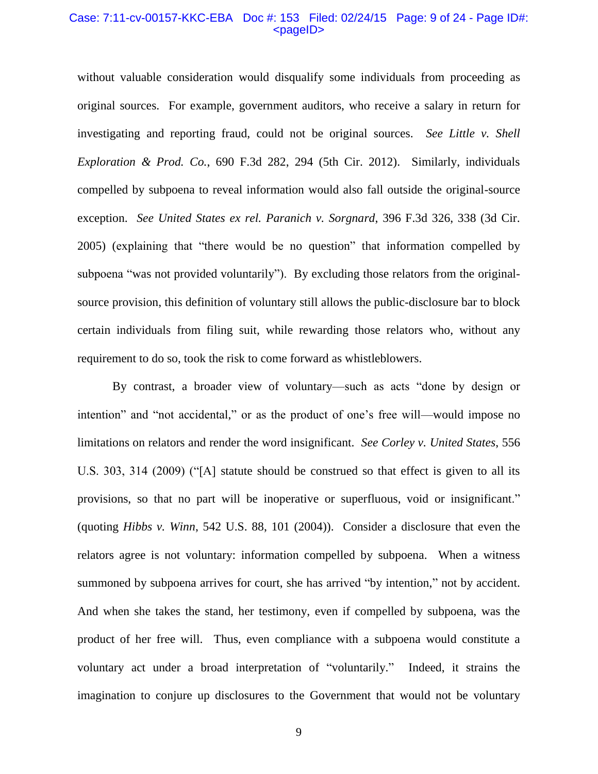### Case: 7:11-cv-00157-KKC-EBA Doc #: 153 Filed: 02/24/15 Page: 9 of 24 - Page ID#: <pageID>

without valuable consideration would disqualify some individuals from proceeding as original sources. For example, government auditors, who receive a salary in return for investigating and reporting fraud, could not be original sources. *See Little v. Shell Exploration & Prod. Co.*, 690 F.3d 282, 294 (5th Cir. 2012). Similarly, individuals compelled by subpoena to reveal information would also fall outside the original-source exception. *See United States ex rel. Paranich v. Sorgnard*, 396 F.3d 326, 338 (3d Cir. 2005) (explaining that "there would be no question" that information compelled by subpoena "was not provided voluntarily"). By excluding those relators from the originalsource provision, this definition of voluntary still allows the public-disclosure bar to block certain individuals from filing suit, while rewarding those relators who, without any requirement to do so, took the risk to come forward as whistleblowers.

By contrast, a broader view of voluntary—such as acts "done by design or intention" and "not accidental," or as the product of one's free will—would impose no limitations on relators and render the word insignificant. *See Corley v. United States*, 556 U.S. 303, 314 (2009) ("[A] statute should be construed so that effect is given to all its provisions, so that no part will be inoperative or superfluous, void or insignificant." (quoting *Hibbs v. Winn*, 542 U.S. 88, 101 (2004)). Consider a disclosure that even the relators agree is not voluntary: information compelled by subpoena. When a witness summoned by subpoena arrives for court, she has arrived "by intention," not by accident. And when she takes the stand, her testimony, even if compelled by subpoena, was the product of her free will. Thus, even compliance with a subpoena would constitute a voluntary act under a broad interpretation of "voluntarily." Indeed, it strains the imagination to conjure up disclosures to the Government that would not be voluntary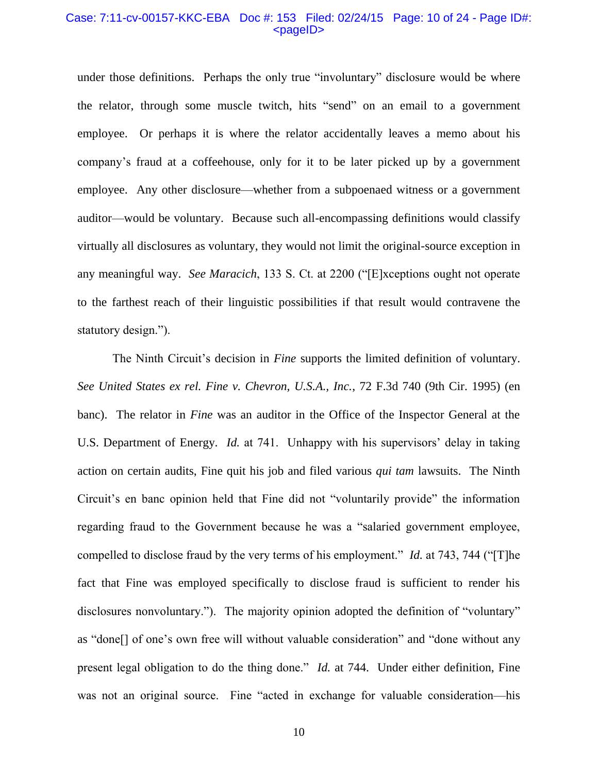#### Case: 7:11-cv-00157-KKC-EBA Doc #: 153 Filed: 02/24/15 Page: 10 of 24 - Page ID#: <pageID>

under those definitions. Perhaps the only true "involuntary" disclosure would be where the relator, through some muscle twitch, hits "send" on an email to a government employee. Or perhaps it is where the relator accidentally leaves a memo about his company's fraud at a coffeehouse, only for it to be later picked up by a government employee. Any other disclosure—whether from a subpoenaed witness or a government auditor—would be voluntary. Because such all-encompassing definitions would classify virtually all disclosures as voluntary, they would not limit the original-source exception in any meaningful way. *See Maracich*, 133 S. Ct. at 2200 ("[E]xceptions ought not operate to the farthest reach of their linguistic possibilities if that result would contravene the statutory design.").

The Ninth Circuit's decision in *Fine* supports the limited definition of voluntary. *See United States ex rel. Fine v. Chevron, U.S.A., Inc.*, 72 F.3d 740 (9th Cir. 1995) (en banc). The relator in *Fine* was an auditor in the Office of the Inspector General at the U.S. Department of Energy. *Id.* at 741. Unhappy with his supervisors' delay in taking action on certain audits, Fine quit his job and filed various *qui tam* lawsuits. The Ninth Circuit's en banc opinion held that Fine did not "voluntarily provide" the information regarding fraud to the Government because he was a "salaried government employee, compelled to disclose fraud by the very terms of his employment." *Id.* at 743, 744 ("[T]he fact that Fine was employed specifically to disclose fraud is sufficient to render his disclosures nonvoluntary."). The majority opinion adopted the definition of "voluntary" as "done[] of one's own free will without valuable consideration" and "done without any present legal obligation to do the thing done." *Id.* at 744. Under either definition, Fine was not an original source. Fine "acted in exchange for valuable consideration—his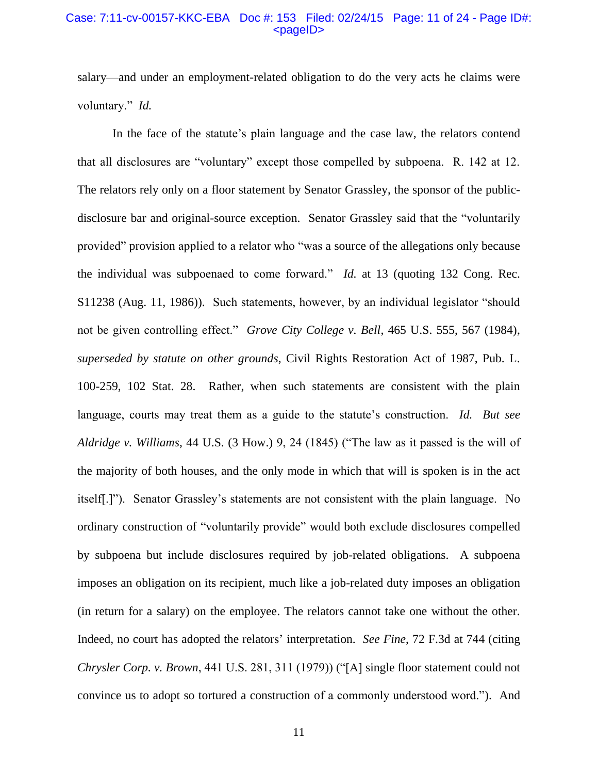#### Case: 7:11-cv-00157-KKC-EBA Doc #: 153 Filed: 02/24/15 Page: 11 of 24 - Page ID#: <pageID>

salary—and under an employment-related obligation to do the very acts he claims were voluntary." *Id.*

In the face of the statute's plain language and the case law, the relators contend that all disclosures are "voluntary" except those compelled by subpoena. R. 142 at 12. The relators rely only on a floor statement by Senator Grassley, the sponsor of the publicdisclosure bar and original-source exception. Senator Grassley said that the "voluntarily provided" provision applied to a relator who "was a source of the allegations only because the individual was subpoenaed to come forward." *Id.* at 13 (quoting 132 Cong. Rec. S11238 (Aug. 11, 1986)). Such statements, however, by an individual legislator "should not be given controlling effect." *Grove City College v. Bell*, 465 U.S. 555, 567 (1984), *superseded by statute on other grounds*, Civil Rights Restoration Act of 1987, Pub. L. 100-259, 102 Stat. 28. Rather, when such statements are consistent with the plain language, courts may treat them as a guide to the statute's construction. *Id. But see Aldridge v. Williams*, 44 U.S. (3 How.) 9, 24 (1845) ("The law as it passed is the will of the majority of both houses, and the only mode in which that will is spoken is in the act itself[.]"). Senator Grassley's statements are not consistent with the plain language. No ordinary construction of "voluntarily provide" would both exclude disclosures compelled by subpoena but include disclosures required by job-related obligations. A subpoena imposes an obligation on its recipient, much like a job-related duty imposes an obligation (in return for a salary) on the employee. The relators cannot take one without the other. Indeed, no court has adopted the relators' interpretation. *See Fine*, 72 F.3d at 744 (citing *Chrysler Corp. v. Brown*, 441 U.S. 281, 311 (1979)) ("[A] single floor statement could not convince us to adopt so tortured a construction of a commonly understood word."). And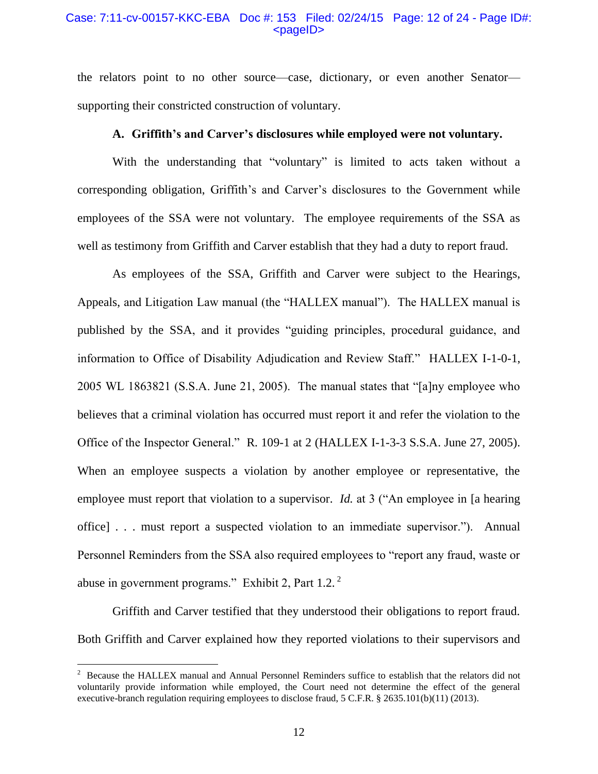## Case: 7:11-cv-00157-KKC-EBA Doc #: 153 Filed: 02/24/15 Page: 12 of 24 - Page ID#:  $<$ pageID $>$

the relators point to no other source—case, dictionary, or even another Senator supporting their constricted construction of voluntary.

### **A. Griffith's and Carver's disclosures while employed were not voluntary.**

With the understanding that "voluntary" is limited to acts taken without a corresponding obligation, Griffith's and Carver's disclosures to the Government while employees of the SSA were not voluntary. The employee requirements of the SSA as well as testimony from Griffith and Carver establish that they had a duty to report fraud.

As employees of the SSA, Griffith and Carver were subject to the Hearings, Appeals, and Litigation Law manual (the "HALLEX manual"). The HALLEX manual is published by the SSA, and it provides "guiding principles, procedural guidance, and information to Office of Disability Adjudication and Review Staff." HALLEX I-1-0-1, 2005 WL 1863821 (S.S.A. June 21, 2005). The manual states that "[a]ny employee who believes that a criminal violation has occurred must report it and refer the violation to the Office of the Inspector General." R. 109-1 at 2 (HALLEX I-1-3-3 S.S.A. June 27, 2005). When an employee suspects a violation by another employee or representative, the employee must report that violation to a supervisor. *Id.* at 3 ("An employee in [a hearing office] . . . must report a suspected violation to an immediate supervisor."). Annual Personnel Reminders from the SSA also required employees to "report any fraud, waste or abuse in government programs." Exhibit 2, Part 1.2. <sup>2</sup>

Griffith and Carver testified that they understood their obligations to report fraud. Both Griffith and Carver explained how they reported violations to their supervisors and

 $\overline{a}$ 

 $2$  Because the HALLEX manual and Annual Personnel Reminders suffice to establish that the relators did not voluntarily provide information while employed, the Court need not determine the effect of the general executive-branch regulation requiring employees to disclose fraud, 5 C.F.R. § 2635.101(b)(11) (2013).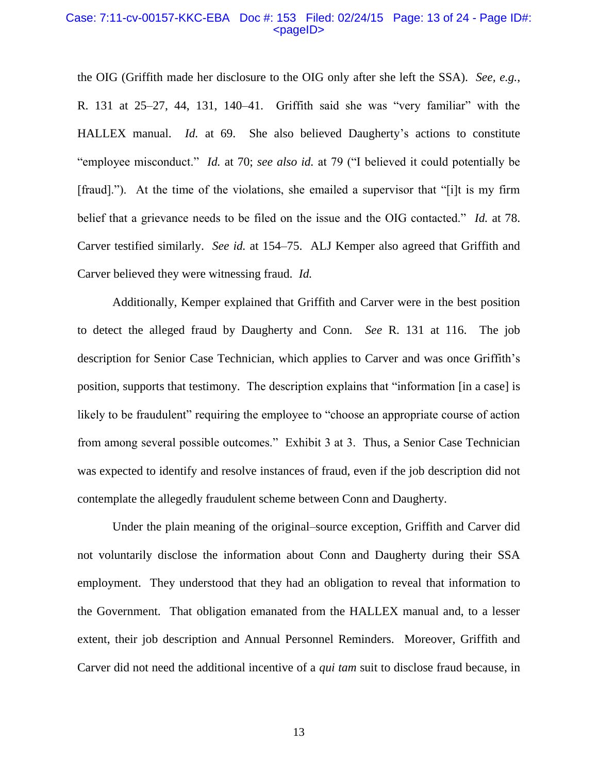#### Case: 7:11-cv-00157-KKC-EBA Doc #: 153 Filed: 02/24/15 Page: 13 of 24 - Page ID#: <pageID>

the OIG (Griffith made her disclosure to the OIG only after she left the SSA). *See, e.g.*, R. 131 at 25–27, 44, 131, 140–41. Griffith said she was "very familiar" with the HALLEX manual. *Id.* at 69. She also believed Daugherty's actions to constitute "employee misconduct." *Id.* at 70; *see also id.* at 79 ("I believed it could potentially be [fraud]."). At the time of the violations, she emailed a supervisor that "[i]t is my firm belief that a grievance needs to be filed on the issue and the OIG contacted." *Id.* at 78. Carver testified similarly. *See id.* at 154–75. ALJ Kemper also agreed that Griffith and Carver believed they were witnessing fraud. *Id.*

Additionally, Kemper explained that Griffith and Carver were in the best position to detect the alleged fraud by Daugherty and Conn. *See* R. 131 at 116. The job description for Senior Case Technician, which applies to Carver and was once Griffith's position, supports that testimony. The description explains that "information [in a case] is likely to be fraudulent" requiring the employee to "choose an appropriate course of action from among several possible outcomes." Exhibit 3 at 3. Thus, a Senior Case Technician was expected to identify and resolve instances of fraud, even if the job description did not contemplate the allegedly fraudulent scheme between Conn and Daugherty.

Under the plain meaning of the original–source exception, Griffith and Carver did not voluntarily disclose the information about Conn and Daugherty during their SSA employment. They understood that they had an obligation to reveal that information to the Government. That obligation emanated from the HALLEX manual and, to a lesser extent, their job description and Annual Personnel Reminders. Moreover, Griffith and Carver did not need the additional incentive of a *qui tam* suit to disclose fraud because, in

13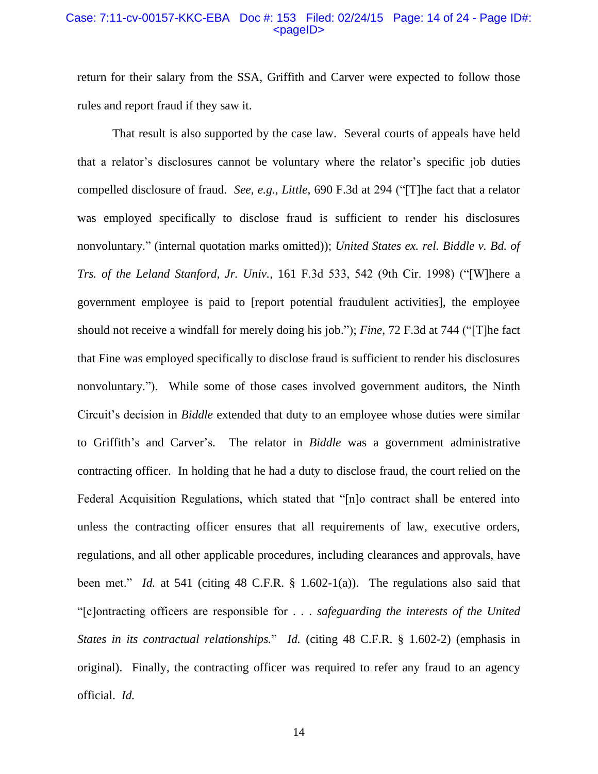#### Case: 7:11-cv-00157-KKC-EBA Doc #: 153 Filed: 02/24/15 Page: 14 of 24 - Page ID#: <pageID>

return for their salary from the SSA, Griffith and Carver were expected to follow those rules and report fraud if they saw it.

That result is also supported by the case law. Several courts of appeals have held that a relator's disclosures cannot be voluntary where the relator's specific job duties compelled disclosure of fraud. *See, e.g.*, *Little*, 690 F.3d at 294 ("[T]he fact that a relator was employed specifically to disclose fraud is sufficient to render his disclosures nonvoluntary." (internal quotation marks omitted)); *United States ex. rel. Biddle v. Bd. of Trs. of the Leland Stanford, Jr. Univ.*, 161 F.3d 533, 542 (9th Cir. 1998) ("[W]here a government employee is paid to [report potential fraudulent activities], the employee should not receive a windfall for merely doing his job."); *Fine*, 72 F.3d at 744 ("[T]he fact that Fine was employed specifically to disclose fraud is sufficient to render his disclosures nonvoluntary."). While some of those cases involved government auditors, the Ninth Circuit's decision in *Biddle* extended that duty to an employee whose duties were similar to Griffith's and Carver's. The relator in *Biddle* was a government administrative contracting officer. In holding that he had a duty to disclose fraud, the court relied on the Federal Acquisition Regulations, which stated that "[n]o contract shall be entered into unless the contracting officer ensures that all requirements of law, executive orders, regulations, and all other applicable procedures, including clearances and approvals, have been met." *Id.* at 541 (citing 48 C.F.R. § 1.602-1(a)). The regulations also said that "[c]ontracting officers are responsible for . . . *safeguarding the interests of the United States in its contractual relationships.*" *Id.* (citing 48 C.F.R. § 1.602-2) (emphasis in original). Finally, the contracting officer was required to refer any fraud to an agency official. *Id.*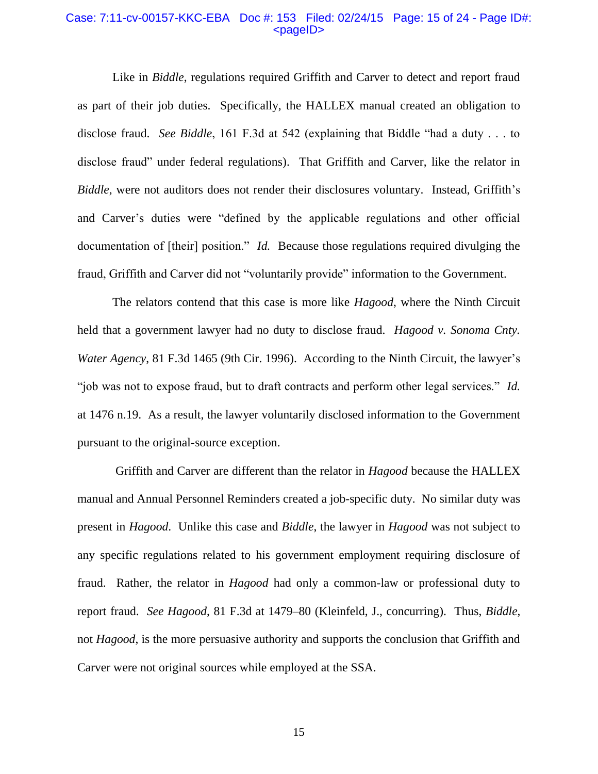#### Case: 7:11-cv-00157-KKC-EBA Doc #: 153 Filed: 02/24/15 Page: 15 of 24 - Page ID#: <pageID>

Like in *Biddle*, regulations required Griffith and Carver to detect and report fraud as part of their job duties. Specifically, the HALLEX manual created an obligation to disclose fraud. *See Biddle*, 161 F.3d at 542 (explaining that Biddle "had a duty . . . to disclose fraud" under federal regulations). That Griffith and Carver, like the relator in *Biddle*, were not auditors does not render their disclosures voluntary.Instead, Griffith's and Carver's duties were "defined by the applicable regulations and other official documentation of [their] position." *Id.* Because those regulations required divulging the fraud, Griffith and Carver did not "voluntarily provide" information to the Government.

The relators contend that this case is more like *Hagood*, where the Ninth Circuit held that a government lawyer had no duty to disclose fraud. *Hagood v. Sonoma Cnty. Water Agency*, 81 F.3d 1465 (9th Cir. 1996). According to the Ninth Circuit, the lawyer's "job was not to expose fraud, but to draft contracts and perform other legal services." *Id.*  at 1476 n.19. As a result, the lawyer voluntarily disclosed information to the Government pursuant to the original-source exception.

Griffith and Carver are different than the relator in *Hagood* because the HALLEX manual and Annual Personnel Reminders created a job-specific duty. No similar duty was present in *Hagood*. Unlike this case and *Biddle*, the lawyer in *Hagood* was not subject to any specific regulations related to his government employment requiring disclosure of fraud. Rather, the relator in *Hagood* had only a common-law or professional duty to report fraud. *See Hagood*, 81 F.3d at 1479–80 (Kleinfeld, J., concurring). Thus, *Biddle*, not *Hagood*, is the more persuasive authority and supports the conclusion that Griffith and Carver were not original sources while employed at the SSA.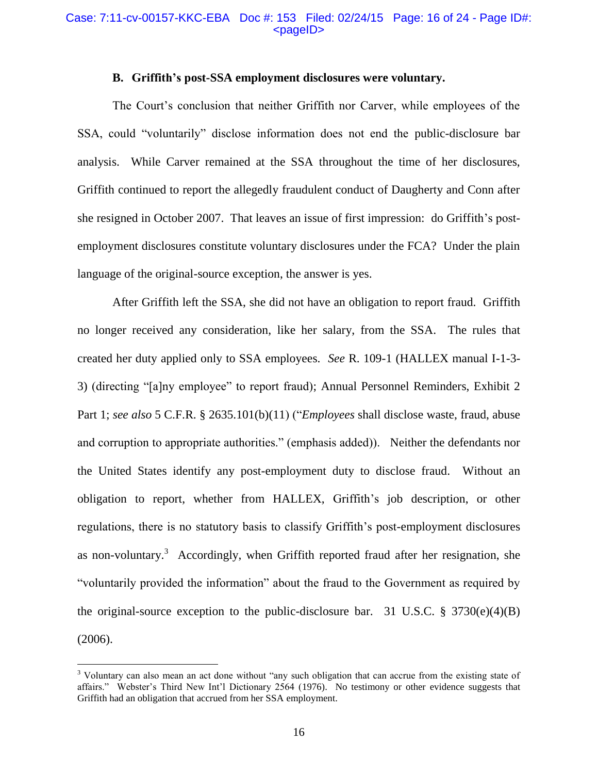#### Case: 7:11-cv-00157-KKC-EBA Doc #: 153 Filed: 02/24/15 Page: 16 of 24 - Page ID#:  $<$ pageID $>$

## **B. Griffith's post-SSA employment disclosures were voluntary.**

The Court's conclusion that neither Griffith nor Carver, while employees of the SSA, could "voluntarily" disclose information does not end the public-disclosure bar analysis. While Carver remained at the SSA throughout the time of her disclosures, Griffith continued to report the allegedly fraudulent conduct of Daugherty and Conn after she resigned in October 2007. That leaves an issue of first impression: do Griffith's postemployment disclosures constitute voluntary disclosures under the FCA? Under the plain language of the original-source exception, the answer is yes.

After Griffith left the SSA, she did not have an obligation to report fraud. Griffith no longer received any consideration, like her salary, from the SSA. The rules that created her duty applied only to SSA employees. *See* R. 109-1 (HALLEX manual I-1-3- 3) (directing "[a]ny employee" to report fraud); Annual Personnel Reminders, Exhibit 2 Part 1; *see also* 5 C.F.R. § 2635.101(b)(11) ("*Employees* shall disclose waste, fraud, abuse and corruption to appropriate authorities." (emphasis added)). Neither the defendants nor the United States identify any post-employment duty to disclose fraud. Without an obligation to report, whether from HALLEX, Griffith's job description, or other regulations, there is no statutory basis to classify Griffith's post-employment disclosures as non-voluntary.<sup>3</sup> Accordingly, when Griffith reported fraud after her resignation, she "voluntarily provided the information" about the fraud to the Government as required by the original-source exception to the public-disclosure bar. 31 U.S.C.  $\S$  3730(e)(4)(B) (2006).

 $\overline{a}$ 

<sup>&</sup>lt;sup>3</sup> Voluntary can also mean an act done without "any such obligation that can accrue from the existing state of affairs." Webster's Third New Int'l Dictionary 2564 (1976). No testimony or other evidence suggests that Griffith had an obligation that accrued from her SSA employment.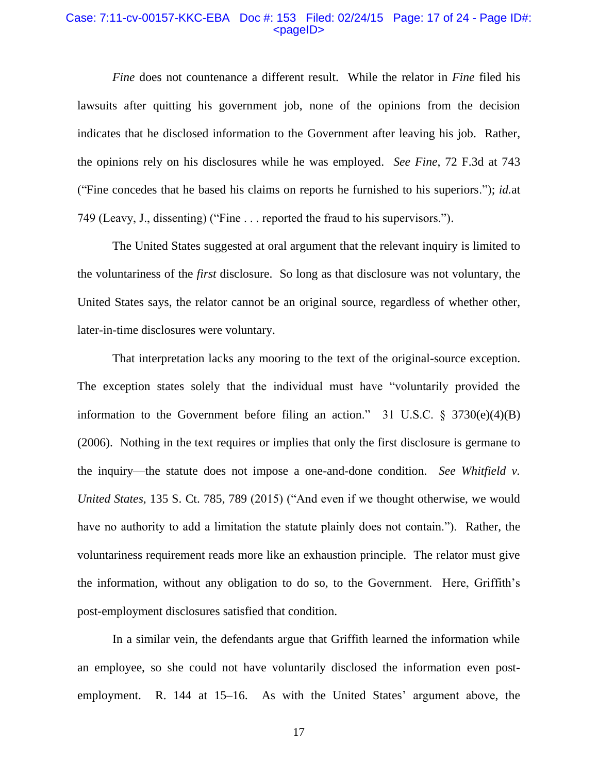#### Case: 7:11-cv-00157-KKC-EBA Doc #: 153 Filed: 02/24/15 Page: 17 of 24 - Page ID#: <pageID>

*Fine* does not countenance a different result. While the relator in *Fine* filed his lawsuits after quitting his government job, none of the opinions from the decision indicates that he disclosed information to the Government after leaving his job. Rather, the opinions rely on his disclosures while he was employed. *See Fine*, 72 F.3d at 743 ("Fine concedes that he based his claims on reports he furnished to his superiors."); *id.*at 749 (Leavy, J., dissenting) ("Fine . . . reported the fraud to his supervisors.").

The United States suggested at oral argument that the relevant inquiry is limited to the voluntariness of the *first* disclosure. So long as that disclosure was not voluntary, the United States says, the relator cannot be an original source, regardless of whether other, later-in-time disclosures were voluntary.

That interpretation lacks any mooring to the text of the original-source exception. The exception states solely that the individual must have "voluntarily provided the information to the Government before filing an action." 31 U.S.C.  $\S$  3730(e)(4)(B) (2006). Nothing in the text requires or implies that only the first disclosure is germane to the inquiry—the statute does not impose a one-and-done condition. *See Whitfield v. United States*, 135 S. Ct. 785, 789 (2015) ("And even if we thought otherwise, we would have no authority to add a limitation the statute plainly does not contain."). Rather, the voluntariness requirement reads more like an exhaustion principle. The relator must give the information, without any obligation to do so, to the Government. Here, Griffith's post-employment disclosures satisfied that condition.

In a similar vein, the defendants argue that Griffith learned the information while an employee, so she could not have voluntarily disclosed the information even postemployment. R. 144 at 15–16. As with the United States' argument above, the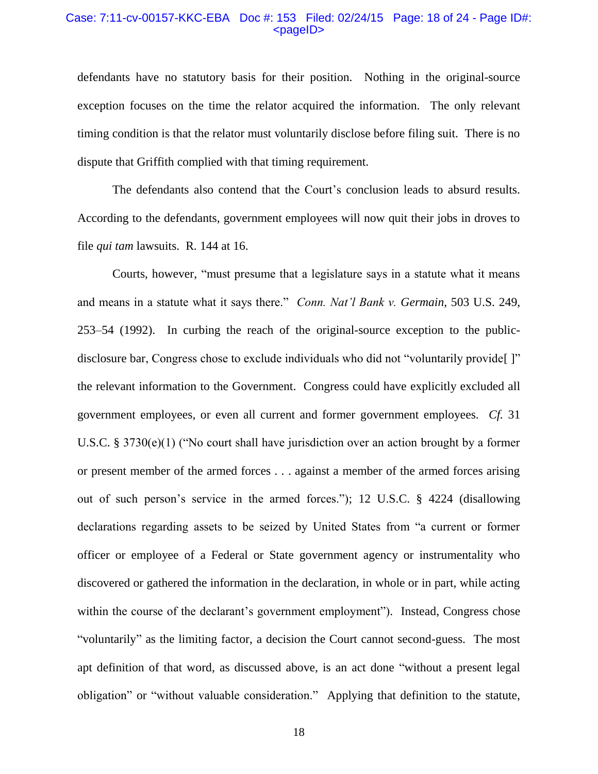### Case: 7:11-cv-00157-KKC-EBA Doc #: 153 Filed: 02/24/15 Page: 18 of 24 - Page ID#: <pageID>

defendants have no statutory basis for their position. Nothing in the original-source exception focuses on the time the relator acquired the information. The only relevant timing condition is that the relator must voluntarily disclose before filing suit. There is no dispute that Griffith complied with that timing requirement.

The defendants also contend that the Court's conclusion leads to absurd results. According to the defendants, government employees will now quit their jobs in droves to file *qui tam* lawsuits. R. 144 at 16.

Courts, however, "must presume that a legislature says in a statute what it means and means in a statute what it says there." *Conn. Nat'l Bank v. Germain*, 503 U.S. 249, 253–54 (1992). In curbing the reach of the original-source exception to the publicdisclosure bar, Congress chose to exclude individuals who did not "voluntarily provide[ ]" the relevant information to the Government. Congress could have explicitly excluded all government employees, or even all current and former government employees. *Cf.* 31 U.S.C. § 3730(e)(1) ("No court shall have jurisdiction over an action brought by a former or present member of the armed forces . . . against a member of the armed forces arising out of such person's service in the armed forces."); 12 U.S.C. § 4224 (disallowing declarations regarding assets to be seized by United States from "a current or former officer or employee of a Federal or State government agency or instrumentality who discovered or gathered the information in the declaration, in whole or in part, while acting within the course of the declarant's government employment"). Instead, Congress chose "voluntarily" as the limiting factor, a decision the Court cannot second-guess. The most apt definition of that word, as discussed above, is an act done "without a present legal obligation" or "without valuable consideration." Applying that definition to the statute,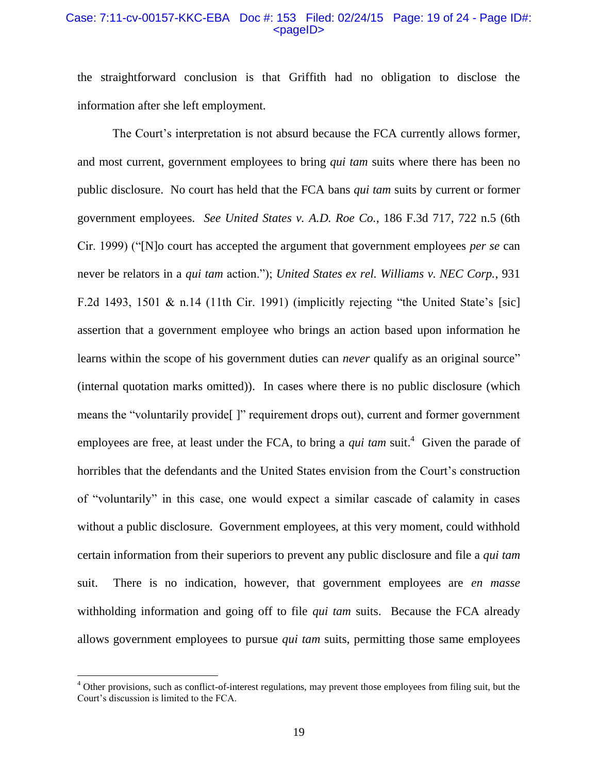#### Case: 7:11-cv-00157-KKC-EBA Doc #: 153 Filed: 02/24/15 Page: 19 of 24 - Page ID#:  $<$ pageID $>$

the straightforward conclusion is that Griffith had no obligation to disclose the information after she left employment.

The Court's interpretation is not absurd because the FCA currently allows former, and most current, government employees to bring *qui tam* suits where there has been no public disclosure. No court has held that the FCA bans *qui tam* suits by current or former government employees. *See United States v. A.D. Roe Co.*, 186 F.3d 717, 722 n.5 (6th Cir. 1999) ("[N]o court has accepted the argument that government employees *per se* can never be relators in a *qui tam* action."); *United States ex rel. Williams v. NEC Corp.*, 931 F.2d 1493, 1501 & n.14 (11th Cir. 1991) (implicitly rejecting "the United State's [sic] assertion that a government employee who brings an action based upon information he learns within the scope of his government duties can *never* qualify as an original source" (internal quotation marks omitted)). In cases where there is no public disclosure (which means the "voluntarily provide[ ]" requirement drops out), current and former government employees are free, at least under the FCA, to bring a *qui tam* suit.<sup>4</sup> Given the parade of horribles that the defendants and the United States envision from the Court's construction of "voluntarily" in this case, one would expect a similar cascade of calamity in cases without a public disclosure. Government employees, at this very moment, could withhold certain information from their superiors to prevent any public disclosure and file a *qui tam* suit. There is no indication, however, that government employees are *en masse*  withholding information and going off to file *qui tam* suits. Because the FCA already allows government employees to pursue *qui tam* suits, permitting those same employees

 $\overline{a}$ 

<sup>&</sup>lt;sup>4</sup> Other provisions, such as conflict-of-interest regulations, may prevent those employees from filing suit, but the Court's discussion is limited to the FCA.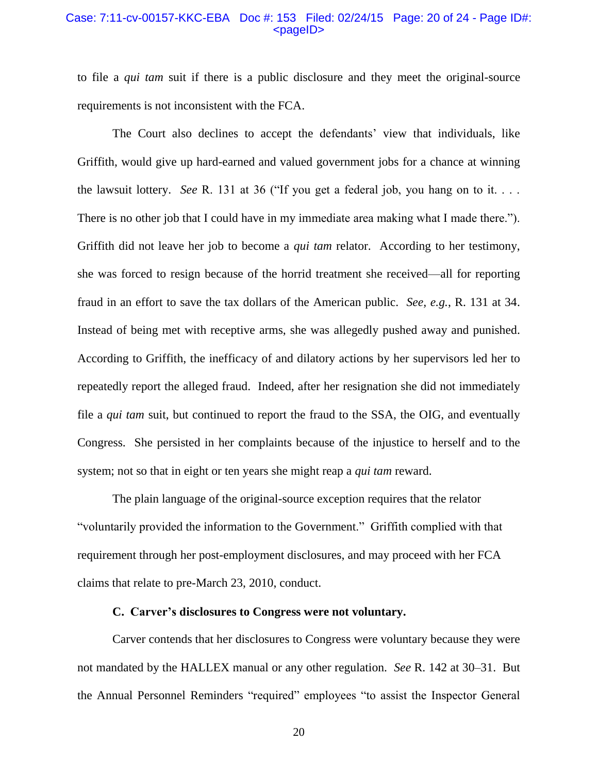#### Case: 7:11-cv-00157-KKC-EBA Doc #: 153 Filed: 02/24/15 Page: 20 of 24 - Page ID#: <pageID>

to file a *qui tam* suit if there is a public disclosure and they meet the original-source requirements is not inconsistent with the FCA.

The Court also declines to accept the defendants' view that individuals, like Griffith, would give up hard-earned and valued government jobs for a chance at winning the lawsuit lottery. *See* R. 131 at 36 ("If you get a federal job, you hang on to it. . . . There is no other job that I could have in my immediate area making what I made there."). Griffith did not leave her job to become a *qui tam* relator. According to her testimony, she was forced to resign because of the horrid treatment she received—all for reporting fraud in an effort to save the tax dollars of the American public. *See, e.g.*, R. 131 at 34. Instead of being met with receptive arms, she was allegedly pushed away and punished. According to Griffith, the inefficacy of and dilatory actions by her supervisors led her to repeatedly report the alleged fraud. Indeed, after her resignation she did not immediately file a *qui tam* suit, but continued to report the fraud to the SSA, the OIG, and eventually Congress. She persisted in her complaints because of the injustice to herself and to the system; not so that in eight or ten years she might reap a *qui tam* reward.

The plain language of the original-source exception requires that the relator "voluntarily provided the information to the Government." Griffith complied with that requirement through her post-employment disclosures, and may proceed with her FCA claims that relate to pre-March 23, 2010, conduct.

#### **C. Carver's disclosures to Congress were not voluntary.**

Carver contends that her disclosures to Congress were voluntary because they were not mandated by the HALLEX manual or any other regulation. *See* R. 142 at 30–31. But the Annual Personnel Reminders "required" employees "to assist the Inspector General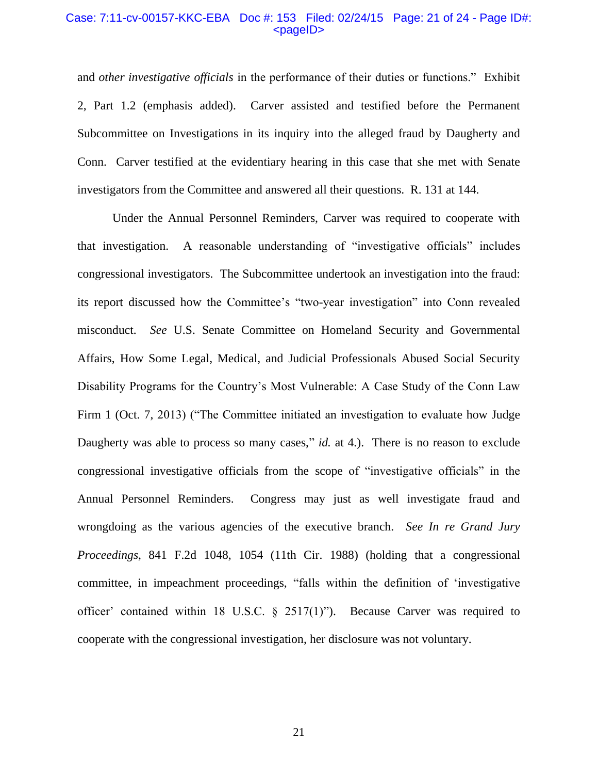#### Case: 7:11-cv-00157-KKC-EBA Doc #: 153 Filed: 02/24/15 Page: 21 of 24 - Page ID#: <pageID>

and *other investigative officials* in the performance of their duties or functions." Exhibit 2, Part 1.2 (emphasis added). Carver assisted and testified before the Permanent Subcommittee on Investigations in its inquiry into the alleged fraud by Daugherty and Conn. Carver testified at the evidentiary hearing in this case that she met with Senate investigators from the Committee and answered all their questions. R. 131 at 144.

Under the Annual Personnel Reminders, Carver was required to cooperate with that investigation. A reasonable understanding of "investigative officials" includes congressional investigators. The Subcommittee undertook an investigation into the fraud: its report discussed how the Committee's "two-year investigation" into Conn revealed misconduct. *See* U.S. Senate Committee on Homeland Security and Governmental Affairs, How Some Legal, Medical, and Judicial Professionals Abused Social Security Disability Programs for the Country's Most Vulnerable: A Case Study of the Conn Law Firm 1 (Oct. 7, 2013) ("The Committee initiated an investigation to evaluate how Judge Daugherty was able to process so many cases," *id.* at 4.). There is no reason to exclude congressional investigative officials from the scope of "investigative officials" in the Annual Personnel Reminders. Congress may just as well investigate fraud and wrongdoing as the various agencies of the executive branch. *See In re Grand Jury Proceedings*, 841 F.2d 1048, 1054 (11th Cir. 1988) (holding that a congressional committee, in impeachment proceedings, "falls within the definition of 'investigative officer' contained within 18 U.S.C.  $\S$  2517(1)"). Because Carver was required to cooperate with the congressional investigation, her disclosure was not voluntary.

21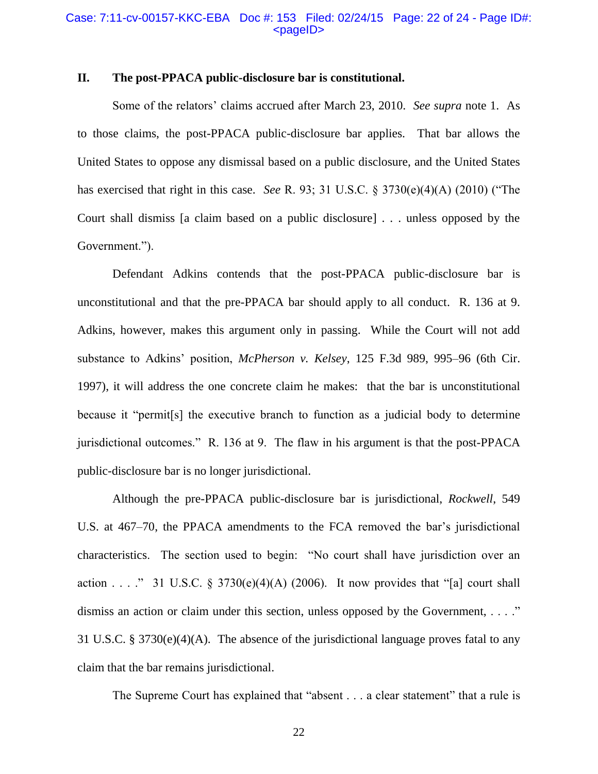#### Case: 7:11-cv-00157-KKC-EBA Doc #: 153 Filed: 02/24/15 Page: 22 of 24 - Page ID#: <pageID>

# **II. The post-PPACA public-disclosure bar is constitutional.**

Some of the relators' claims accrued after March 23, 2010. *See supra* note 1. As to those claims, the post-PPACA public-disclosure bar applies. That bar allows the United States to oppose any dismissal based on a public disclosure, and the United States has exercised that right in this case. *See* R. 93; 31 U.S.C. § 3730(e)(4)(A) (2010) ("The Court shall dismiss [a claim based on a public disclosure] . . . unless opposed by the Government.").

Defendant Adkins contends that the post-PPACA public-disclosure bar is unconstitutional and that the pre-PPACA bar should apply to all conduct. R. 136 at 9. Adkins, however, makes this argument only in passing. While the Court will not add substance to Adkins' position, *McPherson v. Kelsey*, 125 F.3d 989, 995–96 (6th Cir. 1997), it will address the one concrete claim he makes: that the bar is unconstitutional because it "permit[s] the executive branch to function as a judicial body to determine jurisdictional outcomes." R. 136 at 9. The flaw in his argument is that the post-PPACA public-disclosure bar is no longer jurisdictional.

Although the pre-PPACA public-disclosure bar is jurisdictional, *Rockwell*, 549 U.S. at 467–70, the PPACA amendments to the FCA removed the bar's jurisdictional characteristics. The section used to begin: "No court shall have jurisdiction over an action . . . ." 31 U.S.C. § 3730(e)(4)(A) (2006). It now provides that "[a] court shall dismiss an action or claim under this section, unless opposed by the Government, ...." 31 U.S.C. § 3730(e)(4)(A). The absence of the jurisdictional language proves fatal to any claim that the bar remains jurisdictional.

The Supreme Court has explained that "absent . . . a clear statement" that a rule is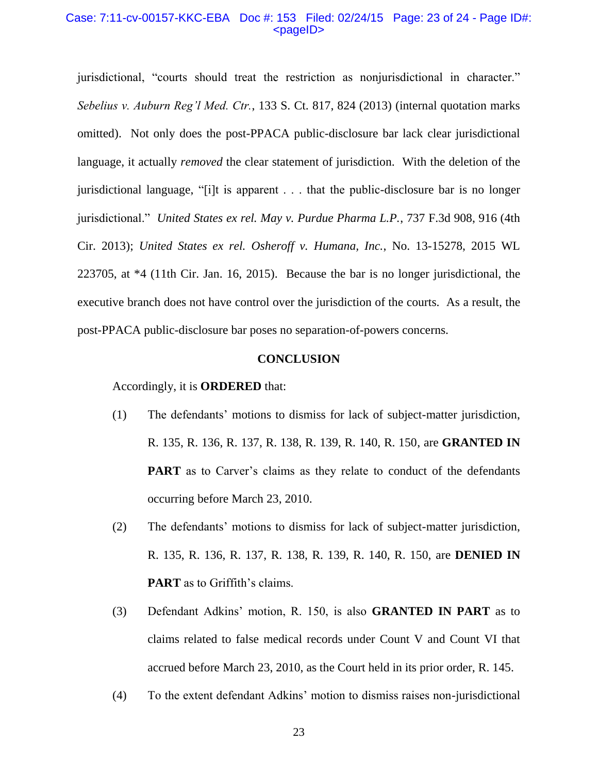#### Case: 7:11-cv-00157-KKC-EBA Doc #: 153 Filed: 02/24/15 Page: 23 of 24 - Page ID#: <pageID>

jurisdictional, "courts should treat the restriction as nonjurisdictional in character." *Sebelius v. Auburn Reg'l Med. Ctr.*, 133 S. Ct. 817, 824 (2013) (internal quotation marks omitted).Not only does the post-PPACA public-disclosure bar lack clear jurisdictional language, it actually *removed* the clear statement of jurisdiction. With the deletion of the jurisdictional language, "[i]t is apparent . . . that the public-disclosure bar is no longer jurisdictional." *United States ex rel. May v. Purdue Pharma L.P.*, 737 F.3d 908, 916 (4th Cir. 2013); *United States ex rel. Osheroff v. Humana, Inc.*, No. 13-15278, 2015 WL 223705, at \*4 (11th Cir. Jan. 16, 2015). Because the bar is no longer jurisdictional, the executive branch does not have control over the jurisdiction of the courts. As a result, the post-PPACA public-disclosure bar poses no separation-of-powers concerns.

#### **CONCLUSION**

Accordingly, it is **ORDERED** that:

- (1) The defendants' motions to dismiss for lack of subject-matter jurisdiction, R. 135, R. 136, R. 137, R. 138, R. 139, R. 140, R. 150, are **GRANTED IN PART** as to Carver's claims as they relate to conduct of the defendants occurring before March 23, 2010.
- (2) The defendants' motions to dismiss for lack of subject-matter jurisdiction, R. 135, R. 136, R. 137, R. 138, R. 139, R. 140, R. 150, are **DENIED IN PART** as to Griffith's claims.
- (3) Defendant Adkins' motion, R. 150, is also **GRANTED IN PART** as to claims related to false medical records under Count V and Count VI that accrued before March 23, 2010, as the Court held in its prior order, R. 145.
- (4) To the extent defendant Adkins' motion to dismiss raises non-jurisdictional